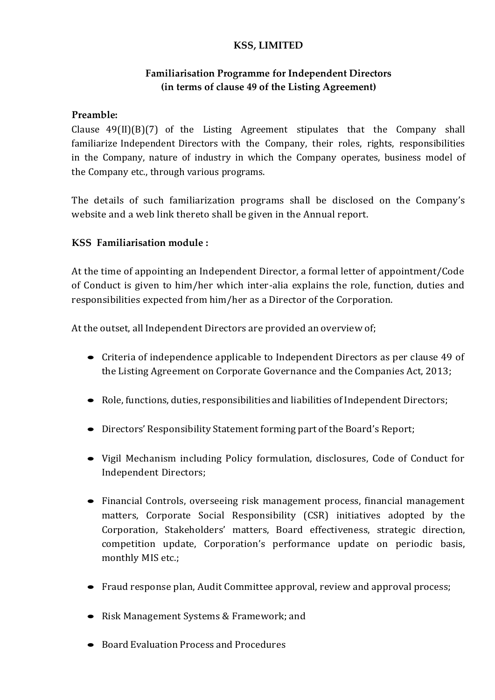## **KSS, LIMITED**

## **Familiarisation Programme for Independent Directors (in terms of clause 49 of the Listing Agreement)**

## **Preamble:**

Clause 49(II)(B)(7) of the Listing Agreement stipulates that the Company shall familiarize Independent Directors with the Company, their roles, rights, responsibilities in the Company, nature of industry in which the Company operates, business model of the Company etc., through various programs.

The details of such familiarization programs shall be disclosed on the Company's website and a web link thereto shall be given in the Annual report.

## **KSS Familiarisation module :**

At the time of appointing an Independent Director, a formal letter of appointment/Code of Conduct is given to him/her which inter-alia explains the role, function, duties and responsibilities expected from him/her as a Director of the Corporation.

At the outset, all Independent Directors are provided an overview of;

- Criteria of independence applicable to Independent Directors as per clause 49 of the Listing Agreement on Corporate Governance and the Companies Act, 2013;
- Role, functions, duties, responsibilities and liabilities of Independent Directors;
- Directors' Responsibility Statement forming part of the Board's Report;
- Vigil Mechanism including Policy formulation, disclosures, Code of Conduct for Independent Directors;
- Financial Controls, overseeing risk management process, financial management matters, Corporate Social Responsibility (CSR) initiatives adopted by the Corporation, Stakeholders' matters, Board effectiveness, strategic direction, competition update, Corporation's performance update on periodic basis, monthly MIS etc.;
- Fraud response plan, Audit Committee approval, review and approval process;
- Risk Management Systems & Framework; and
- Board Evaluation Process and Procedures